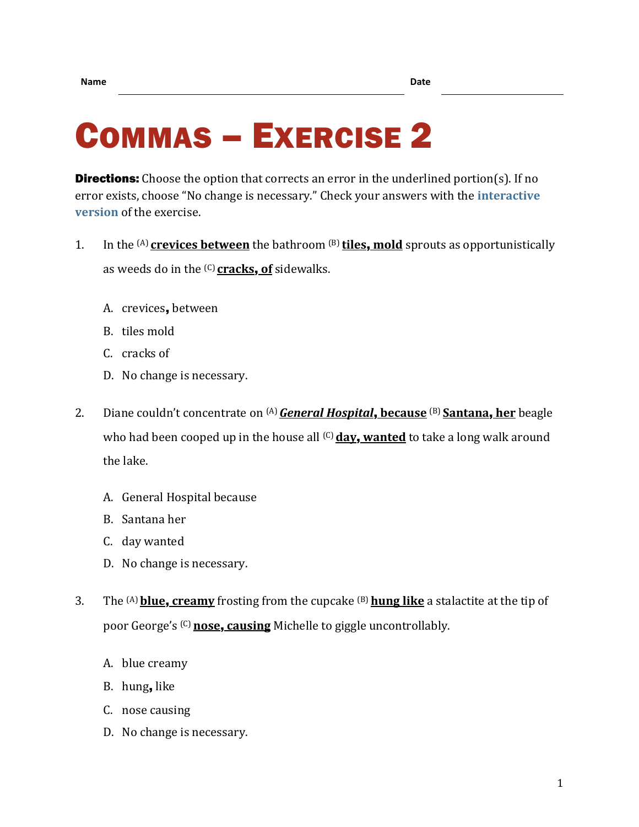## COMMAS – EXERCISE 2

**Directions:** Choose the option that corrects an error in the underlined portion(s). If no error exists, choose "No change is necessary." Check your answers with the **[interactive](https://chompchomp.com/hotpotatoes/commas02.htm)  [version](https://chompchomp.com/hotpotatoes/commas02.htm)** of the exercise.

- 1. In the (A) **crevices between** the bathroom (B) **tiles**, **mold** sprouts as opportunistically as weeds do in the (C) **cracks**, **of** sidewalks.
	- A. crevices, between
	- B. tiles mold
	- C. cracks of
	- D. No change is necessary.
- 2. Diane couldn't concentrate on (A)*General Hospital*, **because** (B) **Santana**, **her** beagle who had been cooped up in the house all <sup>(C)</sup> day, wanted to take a long walk around the lake.
	- A. General Hospital because
	- B. Santana her
	- C. day wanted
	- D. No change is necessary.
- 3. The (A)**blue**, **creamy** frosting from the cupcake (B) **hung like** a stalactite at the tip of poor George's (C) **nose**, **causing** Michelle to giggle uncontrollably.
	- A. blue creamy
	- B. hung, like
	- C. nose causing
	- D. No change is necessary.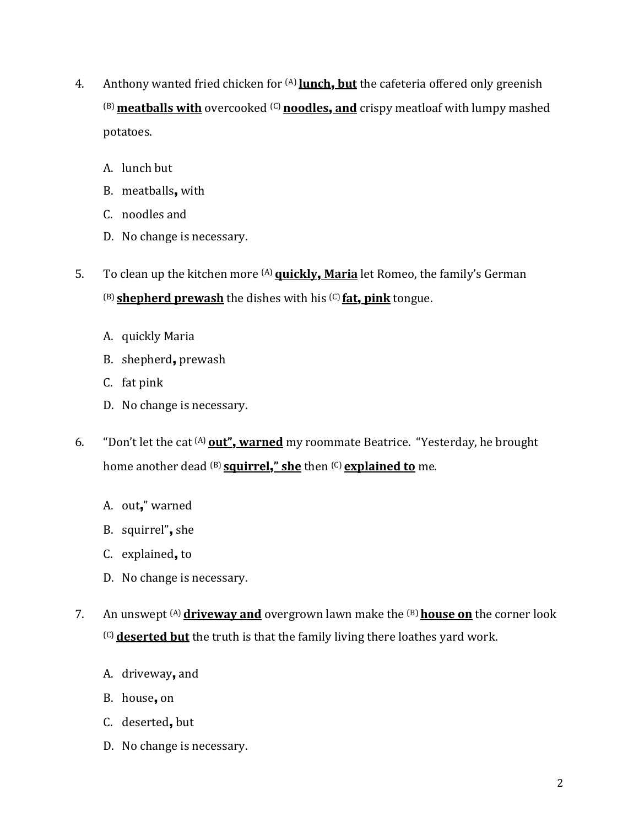- 4. Anthony wanted fried chicken for (A) **lunch**, **but** the cafeteria offered only greenish (B)**meatballs with** overcooked (C) **noodles**, **and** crispy meatloaf with lumpy mashed potatoes.
	- A. lunch but
	- B. meatballs, with
	- C. noodles and
	- D. No change is necessary.
- 5. To clean up the kitchen more (A) **quickly**, **Maria** let Romeo, the family's German (B) **shepherd prewash** the dishes with his (C) **fat**, **pink** tongue.
	- A. quickly Maria
	- B. shepherd, prewash
	- C. fat pink
	- D. No change is necessary.
- 6. "Don't let the cat (A) **out"**, **warned** my roommate Beatrice. "Yesterday, he brought home another dead (B) **squirrel**,**" she** then (C) **explained to** me.
	- A. out," warned
	- B. squirrel", she
	- C. explained, to
	- D. No change is necessary.
- 7. An unswept <sup>(A)</sup> driveway and overgrown lawn make the <sup>(B)</sup> house on the corner look (C) **deserted but** the truth is that the family living there loathes yard work.
	- A. driveway, and
	- B. house, on
	- C. deserted, but
	- D. No change is necessary.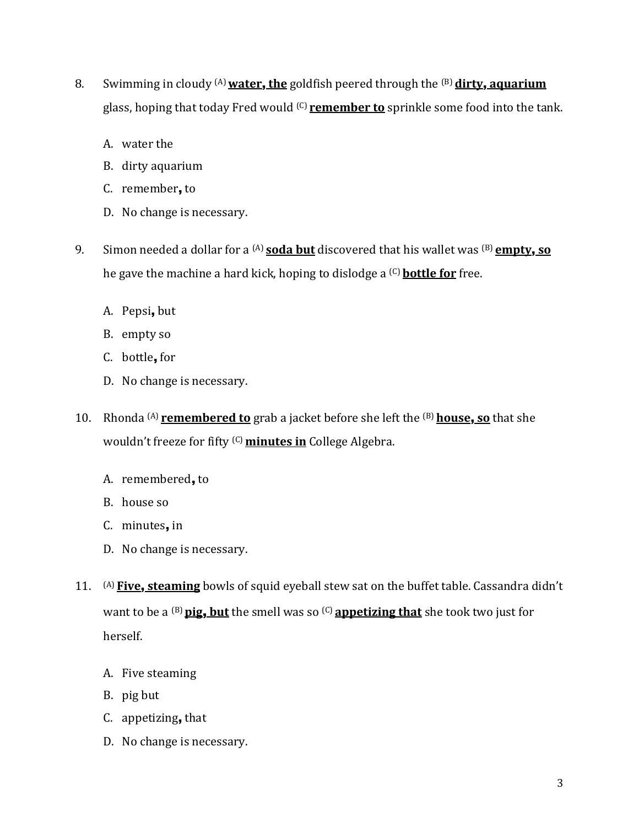- 8. Swimming in cloudy (A)**water**, **the** goldfish peered through the (B) **dirty**, **aquarium** glass, hoping that today Fred would (C) **remember to** sprinkle some food into the tank.
	- A. water the
	- B. dirty aquarium
	- C. remember, to
	- D. No change is necessary.
- 9. Simon needed a dollar for a (A) **soda but** discovered that his wallet was (B) **empty**, **so** he gave the machine a hard kick, hoping to dislodge a (C) **bottle for** free.
	- A. Pepsi, but
	- B. empty so
	- C. bottle, for
	- D. No change is necessary.
- 10. Rhonda (A) **remembered to** grab a jacket before she left the (B) **house**, **so** that she wouldn't freeze for fifty <sup>(C)</sup> minutes in College Algebra.
	- A. remembered, to
	- B. house so
	- C. minutes, in
	- D. No change is necessary.
- 11. (A) **Five**, **steaming** bowls of squid eyeball stew sat on the buffet table. Cassandra didn't want to be a (B)**pig**, **but** the smell was so (C) **appetizing that** she took two just for herself.
	- A. Five steaming
	- B. pig but
	- C. appetizing, that
	- D. No change is necessary.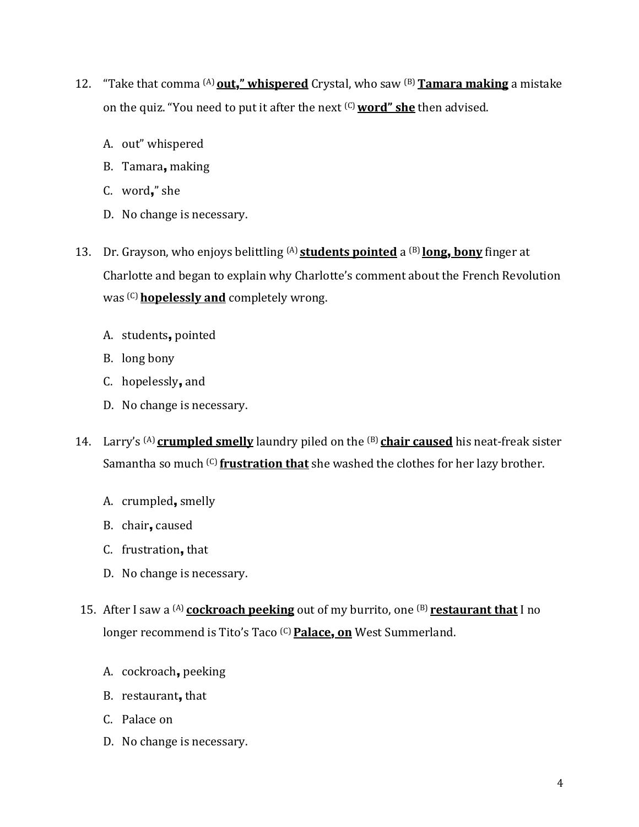- 12. "Take that comma (A) **out**,**" whispered** Crystal, who saw (B)**Tamara making** a mistake on the quiz. "You need to put it after the next (C)**word" she** then advised.
	- A. out" whispered
	- B. Tamara, making
	- C. word," she
	- D. No change is necessary.
- 13. Dr. Grayson, who enjoys belittling (A) **students pointed** a (B) **long**, **bony** finger at Charlotte and began to explain why Charlotte's comment about the French Revolution was (C)**hopelessly and** completely wrong.
	- A. students, pointed
	- B. long bony
	- C. hopelessly, and
	- D. No change is necessary.
- 14. Larry's (A) **crumpled smelly** laundry piled on the (B) **chair caused** his neat-freak sister Samantha so much (C) **frustration that** she washed the clothes for her lazy brother.
	- A. crumpled, smelly
	- B. chair, caused
	- C. frustration, that
	- D. No change is necessary.
- 15. After I saw a (A) **cockroach peeking** out of my burrito, one (B) **restaurant that** I no longer recommend is Tito's Taco (C)**Palace**, **on** West Summerland.
	- A. cockroach, peeking
	- B. restaurant, that
	- C. Palace on
	- D. No change is necessary.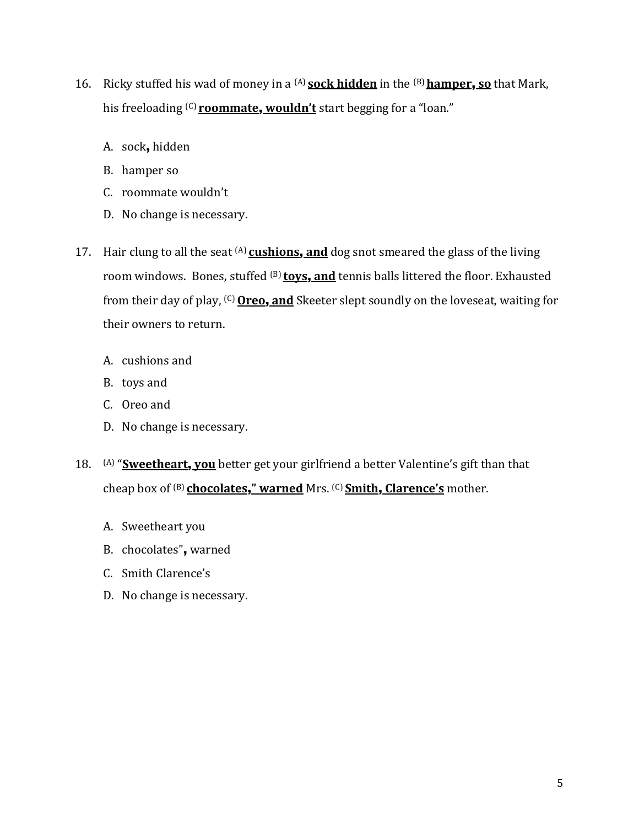- 16. Ricky stuffed his wad of money in a (A) **sock hidden** in the (B) **hamper**, **so** that Mark, his freeloading (C) **roommate**, **wouldn't** start begging for a "loan."
	- A. sock, hidden
	- B. hamper so
	- C. roommate wouldn't
	- D. No change is necessary.
- 17. Hair clung to all the seat (A) **cushions**, **and** dog snot smeared the glass of the living room windows. Bones, stuffed (B) **toys**, **and** tennis balls littered the floor. Exhausted from their day of play, (C)**Oreo**, **and** Skeeter slept soundly on the loveseat, waiting for their owners to return.
	- A. cushions and
	- B. toys and
	- C. Oreo and
	- D. No change is necessary.
- 18. (A) "**Sweetheart**, **you** better get your girlfriend a better Valentine's gift than that cheap box of (B) **chocolates**,**" warned** Mrs. (C) **Smith**, **Clarence's** mother.
	- A. Sweetheart you
	- B. chocolates", warned
	- C. Smith Clarence's
	- D. No change is necessary.